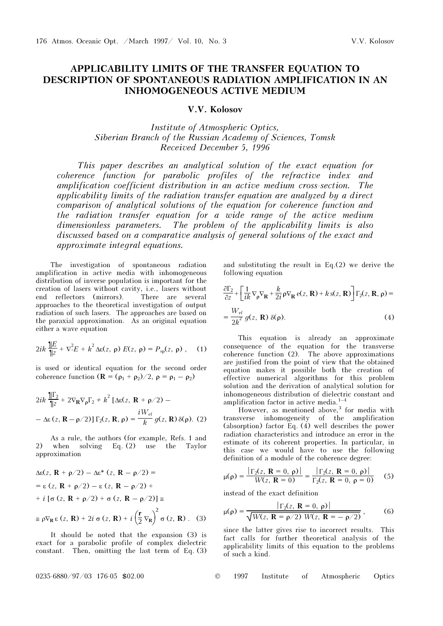## APPLICABILITY LIMITS OF THE TRANSFER EQUATION TO DESCRIPTION OF SPONTANEOUS RADIATION AMPLIFICATION IN AN INHOMOGENEOUS ACTIVE MEDIUM

## V.V. Kolosov

Institute of Atmospheric Optics, Siberian Branch of the Russian Academy of Sciences, Tomsk Received December 5, 1996

This paper describes an analytical solution of the exact equation for coherence function for parabolic profiles of the refractive index and amplification coefficient distribution in an active medium cross-section. The applicability limits of the radiation transfer equation are analyzed by a direct comparison of analytical solutions of the equation for coherence function and the radiation transfer equation for a wide range of the active medium dimensionless parameters. The problem of the applicability limits is also discussed based on a comparative analysis of general solutions of the exact and approximate integral equations.

The investigation of spontaneous radiation amplification in active media with inhomogeneous distribution of inverse population is important for the creation of lasers without cavity, i.e., lasers without end reflectors (mirrors). There are several approaches to the theoretical investigation of output radiation of such lasers. The approaches are based on the paraxial approximation. As an original equation either a wave equation

$$
2ik\frac{\mathcal{E}}{\|\mathcal{Z} + \nabla^2 E + k^2 \Delta \varepsilon(z, \, \rho) \, E(z, \, \rho) = P_{\rm sp}(z, \, \rho) \,, \quad (1)
$$

is used or identical equation for the second order coherence function  $(\mathbf{R} = (\rho_1 + \rho_2)/2$ ,  $\rho = \rho_1 - \rho_2)$ 

$$
2ik \frac{\|\Gamma_2}{\|z} + 2\nabla_{\mathbf{R}} \nabla_{\rho} \Gamma_2 + k^2 \left[ \Delta \varepsilon(z, \mathbf{R} + \rho/2) - \Delta \varepsilon(z, \mathbf{R} - \rho/2) \right] \Gamma_2(z, \mathbf{R}, \rho) = \frac{iW_{\text{ef}}}{k} g(z, \mathbf{R}) \delta(\rho). (2)
$$

As a rule, the authors (for example, Refs. 1 and 2) when solving Eq. (2) use the Taylor approximation

$$
\Delta \varepsilon(z, \mathbf{R} + \rho/2) - \Delta \varepsilon^* (z, \mathbf{R} - \rho/2) =
$$
  
=  $\varepsilon (z, \mathbf{R} + \rho/2) - \varepsilon (z, \mathbf{R} - \rho/2) +$   
+  $i [\sigma (z, \mathbf{R} + \rho/2) + \sigma (z, \mathbf{R} - \rho/2)] \approx$   
 $\simeq \rho \nabla_{\mathbf{R}} \varepsilon (z, \mathbf{R}) + 2i \sigma (z, \mathbf{R}) + i (\frac{\mathbf{r}}{2} \nabla_{\mathbf{R}})^2 \sigma (z, \mathbf{R})$ . (3)

It should be noted that the expansion (3) is exact for a parabolic profile of complex dielectric constant. Then, omitting the last term of Eq. (3)

and substituting the result in Eq.(2) we derive the following equation

$$
\frac{\partial \Gamma_2}{\partial z} + \left[ \frac{1}{ik} \nabla_{\rho} \nabla_{\mathbf{R}} + \frac{k}{2i} \rho \nabla_{\mathbf{R}} e(z, \mathbf{R}) + k s(z, \mathbf{R}) \right] \Gamma_2(z, \mathbf{R}, \rho) =
$$
  
= 
$$
\frac{W_{\text{ef}}}{2k^2} g(z, \mathbf{R}) \delta(\rho).
$$
 (4)

This equation is already an approximate consequence of the equation for the transverse coherence function (2). The above approximations are justified from the point of view that the obtained equation makes it possible both the creation of effective numerical algorithms for this problem solution and the derivation of analytical solution for inhomogeneous distribution of dielectric constant and amplification factor in active media. $1-4$ 

However, as mentioned above, $3$  for media with transverse inhomogeneity of the amplification (absorption) factor Eq. (4) well describes the power radiation characteristics and introduce an error in the estimate of its coherent properties. In particular, in this case we would have to use the following definition of a module of the coherence degree:

$$
\mu(\rho) = \frac{|\Gamma_2(z, \mathbf{R} = 0, \rho)|}{W(z, \mathbf{R} = 0)} = \frac{|\Gamma_2(z, \mathbf{R} = 0, \rho)|}{\Gamma_2(z, \mathbf{R} = 0, \rho = 0)}
$$
(5)

instead of the exact definition

$$
\mu(\rho) = \frac{|\Gamma_2(z, \mathbf{R} = 0, \rho)|}{\sqrt{W(z, \mathbf{R} = \rho/2) W(z, \mathbf{R} = -\rho/2)}},
$$
(6)

since the latter gives rise to incorrect results. This fact calls for further theoretical analysis of the applicability limits of this equation to the problems of such a kind.

0235-6880/97/03 176-05 \$02.00 © 1997 Institute of Atmospheric Optics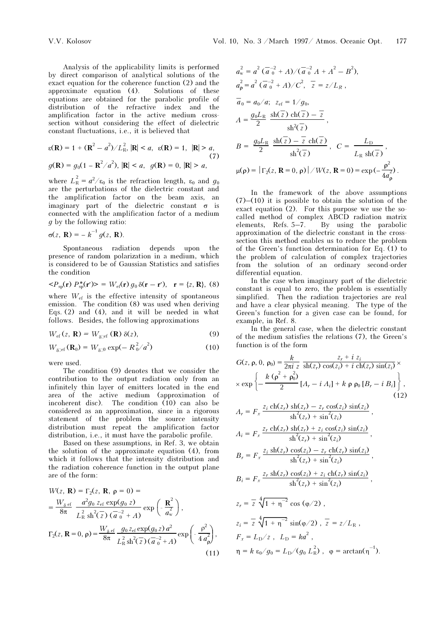Analysis of the applicability limits is performed by direct comparison of analytical solutions of the exact equation for the coherence function (2) and the approximate equation (4). Solutions of these equations are obtained for the parabolic profile of distribution of the refractive index and the amplification factor in the active medium crosssection without considering the effect of dielectric constant fluctuations, i.e., it is believed that

$$
\varepsilon(\mathbf{R}) = 1 + (\mathbf{R}^2 - a^2) / L_{\text{R}}^2, |\mathbf{R}| < a, \quad \varepsilon(\mathbf{R}) = 1, \quad |\mathbf{R}| > a,
$$
\n
$$
g(\mathbf{R}) = g_0(1 - \mathbf{R}^2 / a^2), |\mathbf{R}| < a, \quad g(\mathbf{R}) = 0, |\mathbf{R}| > a,
$$
\n
$$
(7)
$$

where  $L_R^2 = a^2/\varepsilon_0$  is the refraction length,  $\varepsilon_0$  and  $g_0$ <br>are the perturbations of the dielectric constant and are the perturbations of the dielectric constant and the amplification factor on the beam axis, an imaginary part of the dielectric constant  $\sigma$  is connected with the amplification factor of a medium g by the following ratio:

$$
\sigma(z,\,\mathbf{R})=-k^{-1}g(z,\,\mathbf{R}).
$$

Spontaneous radiation depends upon the presence of random polarization in a medium, which is considered to be of Gaussian Statistics and satisfies the condition

$$
\langle P_{\rm sp}(\mathbf{r})\,P_{\rm sp}^*(\mathbf{r}') \rangle = W_{\rm cf}(\mathbf{r})\,g_0\,\delta(\mathbf{r}-\mathbf{r}'),\quad \mathbf{r} = \{z,\,\mathbf{R}\},\,\,(8)
$$

where  $W_{\text{ef}}$  is the effective intensity of spontaneous<br>emission. The condition (8) was used when deriving emission. The condition (8) was used when deriving Eqs.  $(2)$  and  $(4)$ , and it will be needed in what follows. Besides, the following approximations

$$
W_{\rm ef}(z, \mathbf{R}) = W_{\delta \Box \rm ef}(\mathbf{R}) \, \delta(z),\tag{9}
$$

$$
W_{\delta \Box^{cf}}(\mathbf{R}_0) = W_{\delta \Box^0} \exp(-R_0^2/a^2)
$$
 (10)

were used.

The condition (9) denotes that we consider the contribution to the output radiation only from an infinitely thin layer of emitters located in the end area of the active medium (approximation of incoherent disc). The condition  $(10)$  can also be considered as an approximation, since in a rigorous statement of the problem the source intensity distribution must repeat the amplification factor distribution, i.e., it must have the parabolic profile.

Based on these assumptions, in Ref. 3, we obtain the solution of the approximate equation (4), from which it follows that the intensity distribution and the radiation coherence function in the output plane are of the form:

$$
W(z, \mathbf{R}) = \Gamma_2(z, \mathbf{R}, \rho = 0) =
$$
  
=  $\frac{W_{\delta \text{ ef}}}{8\pi} \frac{a^2 g_0 z_{\text{ef}} \exp(g_0 z)}{L_R^2 \sh^2(z) (\overline{a}_0^{-2} + A)} \exp\left(-\frac{\mathbf{R}^2}{a_w^2}\right),$   
 $\Gamma_2(z, \mathbf{R} = 0, \rho) = \frac{W_{\delta \text{ ef}}}{8\pi} \frac{g_0 z_{\text{ef}} \exp(g_0 z) a^2}{L_R^2 \sh^2(z) (\overline{a}_0^{-2} + A)} \exp\left(-\frac{\rho^2}{4 a_\rho^2}\right),$   
(11)

$$
a_w^2 = a^2 (\overline{a}_0^{-2} + A) / (\overline{a}_0^{-2} A + A^2 - B^2),
$$
  
\n
$$
a_p^2 = a^2 (\overline{a}_0^{-2} + A) / C^2, \overline{z} = z / L_R,
$$
  
\n
$$
\overline{a}_0 = a_0 / a; \ z_{ef} = 1 / g_0,
$$
  
\n
$$
A = \frac{g_0 L_R}{2} \frac{\text{sh}(\overline{z}) \text{ch}(\overline{z}) - \overline{z}}{\text{sh}^2(\overline{z})},
$$
  
\n
$$
B = \frac{g_0 L_R}{2} \frac{\text{sh}(\overline{z}) - \overline{z} \text{ch}(\overline{z})}{\text{sh}^2(\overline{z})}, \ C = \frac{L_D}{L_R \text{sh}(\overline{z})},
$$
  
\n
$$
\mu(\rho) = |\Gamma_2(z, \mathbf{R} = 0, \rho)| / W(z, \mathbf{R} = 0) = \exp(-\frac{\rho^2}{4a_\rho^2}).
$$

In the framework of the above assumptions  $(7)$ – $(10)$  it is possible to obtain the solution of the exact equation (2). For this purpose we use the socalled method of complex ABCD radiation matrix elements, Refs. 5–7. By using the parabolic approximation of the dielectric constant in the crosssection this method enables us to reduce the problem of the Green's function determination for Eq. (1) to the problem of calculation of complex trajectories from the solution of an ordinary second-order differential equation.

In the case when imaginary part of the dielectric constant is equal to zero, the problem is essentially simplified. Then the radiation trajectories are real and have a clear physical meaning. The type of the Green's function for a given case can be found, for example, in Ref. 8.

In the general case, when the dielectric constant of the medium satisfies the relations (7), the Green's function is of the form

$$
G(z, \rho, 0, \rho_0) = \frac{k}{2\pi i z} \frac{z_r + i z_i}{\text{sh}(z_r) \cos(z_i) + i \text{ ch}(z_r) \sin(z_i)} \times \exp\left\{-\frac{k(\rho^2 + \rho_0^2)}{2} [A_r - i A_i] + k \rho \rho_0 [B_r - i B_i]\right\},\tag{12}
$$

$$
A_r = F_x \frac{z_i \operatorname{ch}(z_r) \operatorname{sh}(z_r) - z_r \cos(z_i) \operatorname{sin}(z_i)}{\operatorname{sh}^2(z_r) + \operatorname{sin}^2(z_i)},
$$
  
\n
$$
A_i = F_x \frac{z_r \operatorname{ch}(z_r) \operatorname{sh}(z_r) + z_i \cos(z_i) \operatorname{sin}(z_i)}{\operatorname{sh}^2(z_r) + \operatorname{sin}^2(z_i)},
$$
  
\n
$$
B_r = F_x \frac{z_i \operatorname{sh}(z_r) \cos(z_i) - z_r \operatorname{ch}(z_r) \operatorname{sin}(z_i)}{\operatorname{sh}^2(z_r) + \operatorname{sin}^2(z_i)},
$$

$$
B_i = F_x \frac{z_r \operatorname{sh}(z_r) \cos(z_i) + z_i \operatorname{ch}(z_r) \sin(z_i)}{\operatorname{sh}^2(z_r) + \sin^2(z_i)},
$$

$$
z_r = \overline{z} \sqrt[4]{1 + \eta^{-2}} \cos{(\varphi/2)},
$$
  
\n
$$
z_i = \overline{z} \sqrt[4]{1 + \eta^{-2}} \sin{(\varphi/2)}, \overline{z} = \frac{z}{L_R},
$$
  
\n
$$
F_x = L_D/z, \quad L_D = ka^2,
$$
  
\n
$$
\eta = k \cos(g_0) = L_D/(g_0 L_R^2), \quad \varphi = \arctan(\eta^{-1}).
$$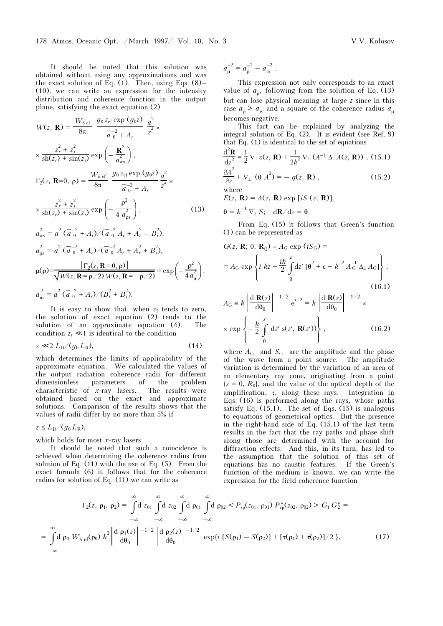It should be noted that this solution was obtained without using any approximations and was the exact solution of Eq.  $(1)$ . Then, using Eqs.  $(8)$ – (10), we can write an expression for the intensity distribution and coherence function in the output plane, satisfying the exact equation (2)

$$
W(z, \mathbf{R}) = \frac{W_{\delta \text{ ef}}}{8\pi} \frac{g_0 z_{\text{ef}} \exp (g_0 z)}{\overline{a}_0^2 + A_r} \frac{a^2}{z^2} \times \frac{z_r^2 + z_i^2}{\sin(z_r) + \sin(z_i)} \exp\left(-\frac{\mathbf{R}^2}{a_{\text{ws}}^2}\right),
$$
  

$$
\Gamma_2(z, \mathbf{R} = 0, \mathbf{p}) = \frac{W_{\delta \text{ ef}}}{8\pi} \frac{g_0 z_{\text{ef}} \exp (g_0 z)}{\overline{a}_0^2 + A_r} \frac{a^2}{z^2} \times \frac{z_r^2 + z_i^2}{\sin(z_r) + \sin(z_i)} \exp\left(-\frac{\mathbf{p}^2}{4 a_{\text{ps}}^2}\right),
$$
(13)  

$$
a_{\text{ws}}^2 = a^2 (\overline{a}_0^{-2} + A_r) /(\overline{a}_0^{-2} A_r + A_r^2 - B_r^2),
$$

$$
a_{\rho s}^2 = a^2 \left( \overline{a}^{-2} + A_r \right) / (\overline{a}^{-2} A_r + A_r^2 + B_i^2),
$$
  
\n
$$
\mu(\rho) = \frac{|\Gamma_2(z, \mathbf{R} = 0, \rho)|}{\sqrt{W(z, \mathbf{R} = \rho/2) W(z, \mathbf{R} = -\rho/2)}} = \exp\left(-\frac{\rho^2}{4 a_\mu^2}\right),
$$
  
\n
$$
a_{\rm m}^2 = a^2 \left( \overline{a}^{-2} + A_r \right) / (B_r^2 + B_i^2).
$$

It is easy to show that, when  $z_i$  tends to zero, the solution of exact equation (2) tends to the solution of an approximate equation (4). The condition  $z_i \ll 1$  is identical to the condition

$$
z \ll 2 L_{\rm D}/(g_0 L_{\rm R}), \tag{14}
$$

which determines the limits of applicability of the approximate equation. We calculated the values of the output radiation coherence radii for different dimensionless parameters of the problem characteristic of  $x$ -ray lasers. The results were obtained based on the exact and approximate solutions. Comparison of the results shows that the values of radii differ by no more than 5% if

 $z \leq L_D/(q_0 L_R)$ ,

which holds for most  $x$ -ray lasers.

It should be noted that such a coincidence is achieved when determining the coherence radius from solution of Eq. (11) with the use of Eq. (5). From the exact formula (6) it follows that for the coherence radius for solution of Eq. (11) we can write as

 $a_{\mu}^{-2} = a_{\rho}^{-2} - a_{\omega}^{-2}$ .

This expression not only corresponds to an exact value of  $a_{\mu}$ , following from the solution of Eq. (13) but can lose physical meaning at large z since in this case  $a_0 > a_w$  and a square of the coherence radius  $a_u$ becomes negative.

This fact can be explained by analyzing the integral solution of Eq. (2). It is evident (see Ref. 9) that Eq. (1) is identical to the set of equations

$$
\frac{d^2 \mathbf{R}}{dz^2} = \frac{1}{2} \nabla_{\perp} \varepsilon(z, \mathbf{R}) + \frac{1}{2k^2} \nabla_{\perp} (A^{-1} \Delta_{\perp} A(z, \mathbf{R})) , (15.1)
$$
  

$$
\frac{\partial A^2}{\partial z} + \nabla_{\perp} (\theta A^2) = - g(z, \mathbf{R}) ,
$$
 (15.2)

∂z where

 $E(z, \mathbf{R}) = A(z, \mathbf{R}) \exp[iS(z, \mathbf{R})];$ 

$$
\theta = k^{-1} \nabla_{\perp} S; \quad \mathrm{d} \mathbf{R} / \mathrm{d} z = \theta.
$$

From Eq. (15) it follows that Green's function (1) can be represented as

$$
G(z, \mathbf{R}; 0, \mathbf{R}_0) = A_G \exp (iS_G) =
$$
  
\n
$$
= A_G \exp \left\{ i kz + \frac{ik}{2} \int_0^z dz' \left[ \theta^2 + \epsilon + k^{-2} A_G^{-1} \Delta_\perp A_G \right] \right\},
$$
  
\n
$$
A_G = k \left| \frac{d \mathbf{R}(z)}{d \theta_0} \right|^{-1/2} e^{i/2} = k \left| \frac{d \mathbf{R}(z)}{d \theta_0} \right|^{-1/2} \times
$$
  
\n
$$
\times \exp \left\{ -\frac{k}{2} \int_0^z dz' s(z', \mathbf{R}(z')) \right\},
$$
  
\n(16.2)

where  $A_G$  and  $S_G$  are the amplitude and the phase of the wave from a point source. The amplitude variation is determined by the variation of an area of an elementary ray cone, originating from a point  ${z = 0, R_0}$ , and the value of the optical depth of the amplification,  $\tau$ , along these rays. Integration in Eqs. (16) is performed along the rays, whose paths satisfy Eq.  $(15.1)$ . The set of Eqs.  $(15)$  is analogous to equations of geometrical optics. But the presence in the right-hand side of Eq. (15.1) of the last term results in the fact that the ray paths and phase shift along those are determined with the account for diffraction effects. And this, in its turn, has led to the assumption that the solution of this set of equations has no caustic features. If the Green's function of the medium is known, we can write the expression for the field coherence function

$$
\Gamma_2(z, \, \rho_1, \, \rho_2) = \int_0^\infty d \, z_{01} \int_0^\infty d \, z_{02} \int_0^\infty d \, \rho_{01} \int_0^\infty d \, \rho_{02} < P_{sp}(z_{01}, \, \rho_{01}) \, P_{sp}^*(z_{02}, \, \rho_{02}) > G_1 \, G_2^* = -\infty
$$
\n
$$
= \int_0^\infty d \, \rho_0 \, W_{\delta \, ef}(\rho_0) \, k^2 \left| \frac{d \, \rho_1(z)}{d \theta_0} \right|^{-1/2} \left| \frac{d \, \rho_2(z)}{d \theta_0} \right|^{-1/2} \, \exp\{i \, [S(\rho_1) - S(\rho_2)] + [\tau(\rho_1) + \tau(\rho_2)]/2 \}.
$$
\n(17)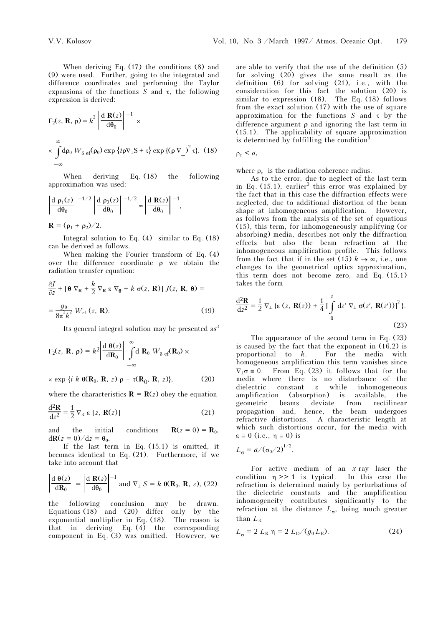When deriving Eq. (17) the conditions (8) and (9) were used. Further, going to the integrated and difference coordinates and performing the Taylor expansions of the functions S and  $\tau$ , the following expression is derived:

$$
\Gamma_2(z, \mathbf{R}, \rho) = k^2 \left| \frac{d \mathbf{R}(z)}{d \theta_0} \right|^{-1} \times
$$
  
 
$$
\times \int_{-\infty}^{\infty} d\rho_0 W_{\delta \text{ ef}}(\rho_0) \exp \{i\rho \nabla_{\perp} S + \tau \} \exp \{(\rho \nabla_{\perp})^2 \tau \}.
$$
 (18)

When deriving Eq. (18) the following approximation was used:

$$
\left|\frac{\mathrm{d}\;\rho_1(z)}{\mathrm{d}\theta_0}\right|^{-1/2}\left|\frac{\mathrm{d}\;\rho_2(z)}{\mathrm{d}\theta_0}\right|^{-1/2}\approx\left|\frac{\mathrm{d}\;\mathbf{R}(z)}{\mathrm{d}\theta_0}\right|^{-1},
$$

 $$ 

Integral solution to Eq. (4) similar to Eq. (18) can be derived as follows.

When making the Fourier transform of Eq. (4) over the difference coordinate ρ we obtain the radiation transfer equation:

$$
\frac{\partial J}{\partial z} + [\mathbf{\theta} \nabla_{\mathbf{R}} + \frac{k}{2} \nabla_{\mathbf{R}} \varepsilon \nabla_{\mathbf{\theta}} + k \sigma(z, \mathbf{R})] J(z, \mathbf{R}, \mathbf{\theta}) =
$$

$$
= \frac{g_0}{8\pi^2 k^2} W_{\text{ef}}(z, \mathbf{R}).
$$
(19)

Its general integral solution may be presented  $as<sup>3</sup>$ 

$$
\Gamma_2(z, \mathbf{R}, \mathbf{\rho}) = k^2 \left| \frac{\mathrm{d} \ \theta(z)}{\mathrm{d} \mathbf{R}_0} \right| \int_{-\infty}^{\infty} \mathrm{d} \ \mathbf{R}_0 \ W_{\delta \ \mathrm{ef}}(\mathbf{R}_0) \times
$$

$$
\times \exp \{i \, k \, \theta(\mathbf{R}_0, \, \mathbf{R}, \, z) \, \rho + \tau(\mathbf{R}_0, \, \mathbf{R}, \, z)\},\tag{20}
$$

where the characteristics  $\mathbf{R} = \mathbf{R}(z)$  obey the equation

$$
\frac{\mathrm{d}^2 \mathbf{R}}{\mathrm{d} z^2} = \frac{1}{2} \nabla_{\mathbf{R}} \varepsilon [z, \mathbf{R}(z)] \tag{21}
$$

and the initial conditions  $\mathbf{R}(z=0) = \mathbf{R}_0$ ,  $d\mathbf{R}(z=0)/dz = \mathbf{\theta}_0$ .

If the last term in Eq. (15.1) is omitted, it becomes identical to Eq. (21). Furthermore, if we take into account that

$$
\left|\frac{\mathrm{d}\,\theta(z)}{\mathrm{d}\mathbf{R}_0}\right| = \left|\frac{\mathrm{d}\,\mathbf{R}(z)}{\mathrm{d}\theta_0}\right|^{-1} \text{ and } \nabla_{\perp} S = k \,\theta(\mathbf{R}_0, \mathbf{R}, z), (22)
$$

the following conclusion may be drawn. Equations (18) and (20) differ only by the exponential multiplier in Eq. (18). The reason is that in deriving Eq. (4) the corresponding component in Eq. (3) was omitted. However, we are able to verify that the use of the definition (5) for solving (20) gives the same result as the definition (6) for solving (21), i.e., with the consideration for this fact the solution (20) is similar to expression (18). The Eq. (18) follows from the exact solution (17) with the use of square approximation for the functions S and  $\tau$  by the difference argument ρ and ignoring the last term in (15.1). The applicability of square approximation is determined by fulfilling the condition<sup>3</sup>

$$
\rho_{\rm c} < a,
$$

where  $\rho_c$  is the radiation coherence radius.

As to the error, due to neglect of the last term in Eq.  $(15.1)$ , earlier<sup>3</sup> this error was explained by the fact that in this case the diffraction effects were neglected, due to additional distortion of the beam shape at inhomogeneous amplification. However, as follows from the analysis of the set of equations (15), this term, for inhomogeneously amplifying (or absorbing) media, describes not only the diffraction effects but also the beam refraction at the inhomogeneous amplification profile. This follows from the fact that if in the set (15)  $k \to \infty$ , i.e., one changes to the geometrical optics approximation, this term does not become zero, and Eq. (15.1) takes the form

$$
\frac{\mathrm{d}^2 \mathbf{R}}{\mathrm{d}z^2} = \frac{1}{2} \nabla_{\perp} \left\{ \varepsilon \left( z, \mathbf{R}(z) \right) + \frac{1}{4} \left[ \int_0^z \mathrm{d}z' \nabla_{\perp} \sigma(z', \mathbf{R}(z')) \right]^2 \right\}.
$$
\n(23)

The appearance of the second term in Eq. (23) is caused by the fact that the exponent in (16.2) is proportional to k. For the media with homogeneous amplification this term vanishes since  $\nabla_1 \sigma = 0$ . From Eq. (23) it follows that for the media where there is no disturbance of the dielectric constant ε while inhomogeneous amplification (absorption) is available, the geometric beams deviate from rectilinear propagation and, hence, the beam undergoes refractive distortions. A characteristic length at which such distortions occur, for the media with  $\epsilon \equiv 0$  (i.e.,  $\eta \equiv 0$ ) is

$$
L_{\sigma} = a/(\sigma_0/2)^{1/2}.
$$

For active medium of an  $x$ -ray laser the condition  $\eta \gg 1$  is typical. In this case the refraction is determined mainly by perturbations of the dielectric constants and the amplification inhomogeneity contributes significantly to the refraction at the distance  $L_{\sigma}$ , being much greater than  $L_R$ 

$$
L_{\sigma} = 2 L_{\rm R} \eta = 2 L_{\rm D} / (g_0 L_{\rm R}). \tag{24}
$$